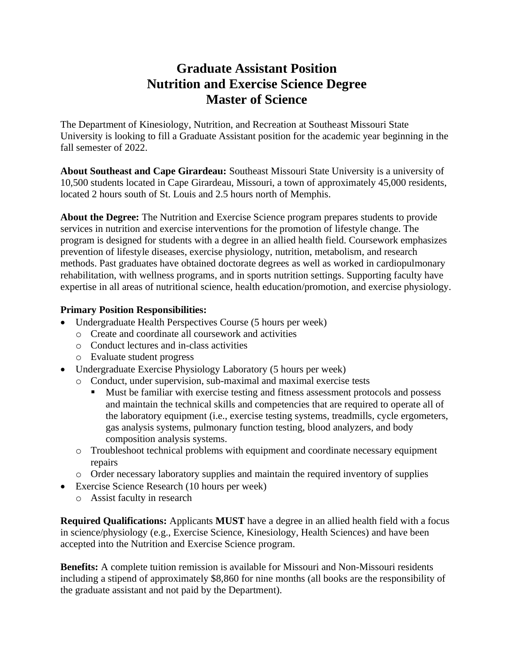## **Graduate Assistant Position Nutrition and Exercise Science Degree Master of Science**

The Department of Kinesiology, Nutrition, and Recreation at Southeast Missouri State University is looking to fill a Graduate Assistant position for the academic year beginning in the fall semester of 2022.

**About Southeast and Cape Girardeau:** Southeast Missouri State University is a university of 10,500 students located in Cape Girardeau, Missouri, a town of approximately 45,000 residents, located 2 hours south of St. Louis and 2.5 hours north of Memphis.

**About the Degree:** The Nutrition and Exercise Science program prepares students to provide services in nutrition and exercise interventions for the promotion of lifestyle change. The program is designed for students with a degree in an allied health field. Coursework emphasizes prevention of lifestyle diseases, exercise physiology, nutrition, metabolism, and research methods. Past graduates have obtained doctorate degrees as well as worked in cardiopulmonary rehabilitation, with wellness programs, and in sports nutrition settings. Supporting faculty have expertise in all areas of nutritional science, health education/promotion, and exercise physiology.

## **Primary Position Responsibilities:**

- Undergraduate Health Perspectives Course (5 hours per week)
	- o Create and coordinate all coursework and activities
	- o Conduct lectures and in-class activities
	- o Evaluate student progress
- Undergraduate Exercise Physiology Laboratory (5 hours per week)
	- o Conduct, under supervision, sub-maximal and maximal exercise tests
		- Must be familiar with exercise testing and fitness assessment protocols and possess and maintain the technical skills and competencies that are required to operate all of the laboratory equipment (i.e., exercise testing systems, treadmills, cycle ergometers, gas analysis systems, pulmonary function testing, blood analyzers, and body composition analysis systems.
	- o Troubleshoot technical problems with equipment and coordinate necessary equipment repairs
	- o Order necessary laboratory supplies and maintain the required inventory of supplies
- Exercise Science Research (10 hours per week)
	- o Assist faculty in research

**Required Qualifications:** Applicants **MUST** have a degree in an allied health field with a focus in science/physiology (e.g., Exercise Science, Kinesiology, Health Sciences) and have been accepted into the Nutrition and Exercise Science program.

**Benefits:** A complete tuition remission is available for Missouri and Non-Missouri residents including a stipend of approximately \$8,860 for nine months (all books are the responsibility of the graduate assistant and not paid by the Department).